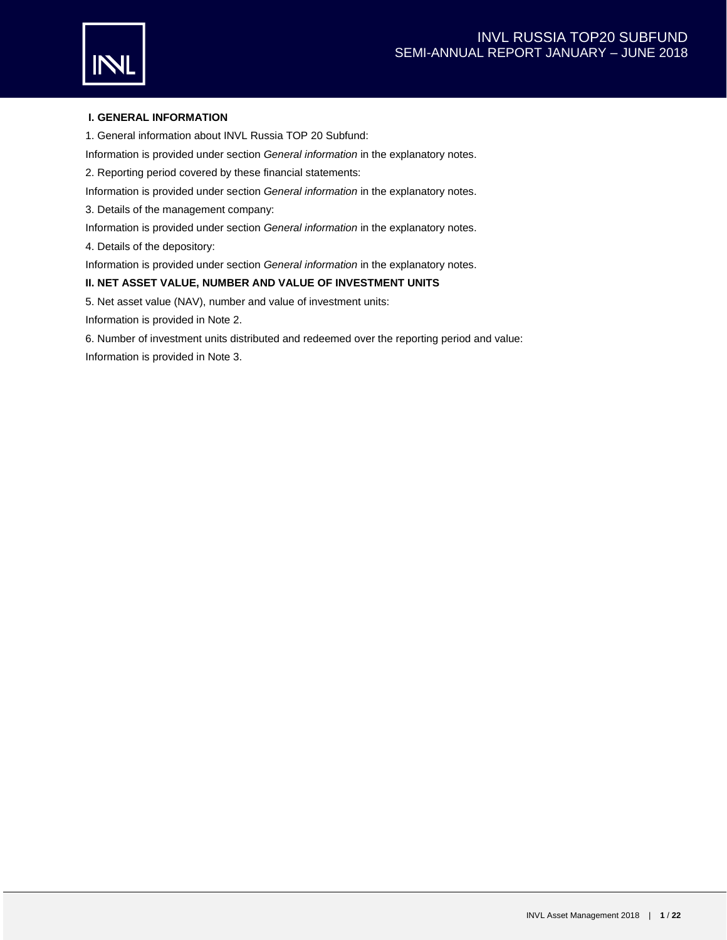

# **I. GENERAL INFORMATION**

1. General information about INVL Russia TOP 20 Subfund:

Information is provided under section *General information* in the explanatory notes.

2. Reporting period covered by these financial statements:

Information is provided under section *General information* in the explanatory notes.

3. Details of the management company:

Information is provided under section *General information* in the explanatory notes.

4. Details of the depository:

Information is provided under section *General information* in the explanatory notes.

## **II. NET ASSET VALUE, NUMBER AND VALUE OF INVESTMENT UNITS**

5. Net asset value (NAV), number and value of investment units:

Information is provided in Note 2.

6. Number of investment units distributed and redeemed over the reporting period and value: Information is provided in Note 3.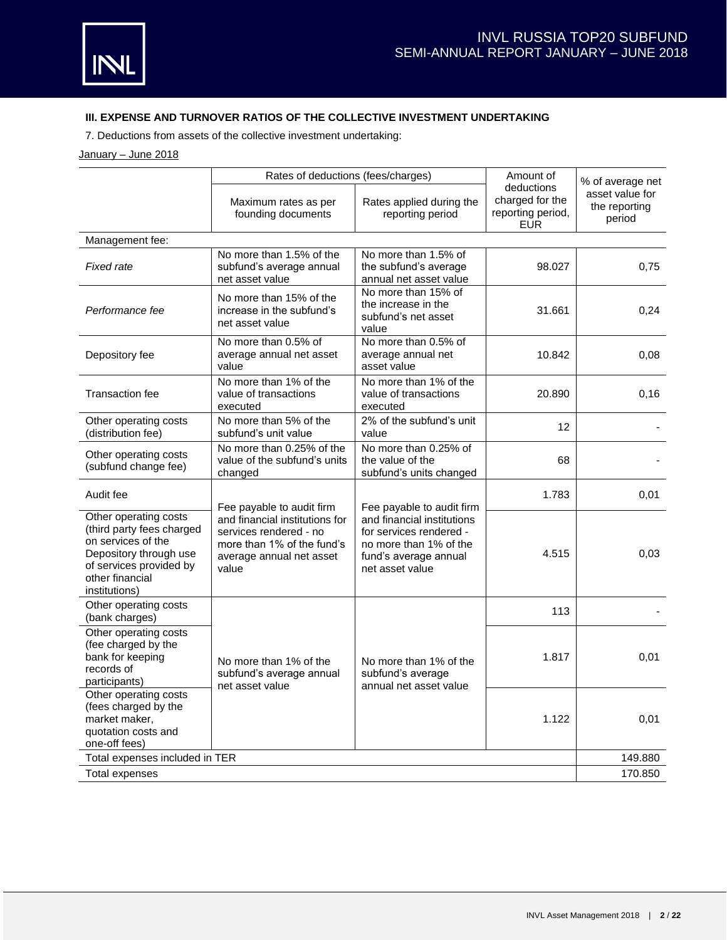# **III. EXPENSE AND TURNOVER RATIOS OF THE COLLECTIVE INVESTMENT UNDERTAKING**

7. Deductions from assets of the collective investment undertaking:

## January - June 2018

|                                                                                                                                                                   |                                                                                                                             | Rates of deductions (fees/charges)                                                                                          |                                                                  | % of average net                           |
|-------------------------------------------------------------------------------------------------------------------------------------------------------------------|-----------------------------------------------------------------------------------------------------------------------------|-----------------------------------------------------------------------------------------------------------------------------|------------------------------------------------------------------|--------------------------------------------|
|                                                                                                                                                                   | Maximum rates as per<br>Rates applied during the<br>reporting period<br>founding documents                                  |                                                                                                                             | deductions<br>charged for the<br>reporting period,<br><b>EUR</b> | asset value for<br>the reporting<br>period |
| Management fee:                                                                                                                                                   |                                                                                                                             |                                                                                                                             |                                                                  |                                            |
| Fixed rate                                                                                                                                                        | No more than 1.5% of the<br>subfund's average annual<br>net asset value                                                     | No more than 1.5% of<br>the subfund's average<br>annual net asset value                                                     | 98.027                                                           | 0,75                                       |
| Performance fee                                                                                                                                                   | No more than 15% of the<br>increase in the subfund's<br>net asset value                                                     | No more than 15% of<br>the increase in the<br>subfund's net asset<br>value                                                  | 31.661                                                           | 0,24                                       |
| Depository fee                                                                                                                                                    | No more than 0.5% of<br>average annual net asset<br>value                                                                   | No more than 0.5% of<br>average annual net<br>asset value                                                                   | 10.842                                                           | 0,08                                       |
| <b>Transaction fee</b>                                                                                                                                            | No more than 1% of the<br>value of transactions<br>executed                                                                 | No more than 1% of the<br>value of transactions<br>executed                                                                 | 20.890                                                           | 0,16                                       |
| Other operating costs<br>(distribution fee)                                                                                                                       | No more than 5% of the<br>subfund's unit value                                                                              | 2% of the subfund's unit<br>value                                                                                           | 12                                                               |                                            |
| Other operating costs<br>(subfund change fee)                                                                                                                     | No more than 0.25% of the<br>value of the subfund's units<br>changed                                                        | No more than 0.25% of<br>the value of the<br>subfund's units changed                                                        | 68                                                               |                                            |
| Audit fee                                                                                                                                                         | Fee payable to audit firm                                                                                                   | Fee payable to audit firm                                                                                                   | 1.783                                                            | 0,01                                       |
| Other operating costs<br>(third party fees charged<br>on services of the<br>Depository through use<br>of services provided by<br>other financial<br>institutions) | and financial institutions for<br>services rendered - no<br>more than 1% of the fund's<br>average annual net asset<br>value | and financial institutions<br>for services rendered -<br>no more than 1% of the<br>fund's average annual<br>net asset value | 4.515                                                            | 0,03                                       |
| Other operating costs<br>(bank charges)                                                                                                                           |                                                                                                                             |                                                                                                                             | 113                                                              |                                            |
| Other operating costs<br>(fee charged by the<br>bank for keeping<br>records of<br>participants)                                                                   | No more than 1% of the<br>subfund's average annual<br>net asset value                                                       | No more than 1% of the<br>subfund's average<br>annual net asset value                                                       | 1.817                                                            | 0,01                                       |
| Other operating costs<br>(fees charged by the<br>market maker,<br>quotation costs and<br>one-off fees)                                                            |                                                                                                                             |                                                                                                                             | 1.122                                                            | 0,01                                       |
| Total expenses included in TER                                                                                                                                    |                                                                                                                             |                                                                                                                             |                                                                  | 149.880                                    |
| Total expenses                                                                                                                                                    |                                                                                                                             |                                                                                                                             |                                                                  | 170.850                                    |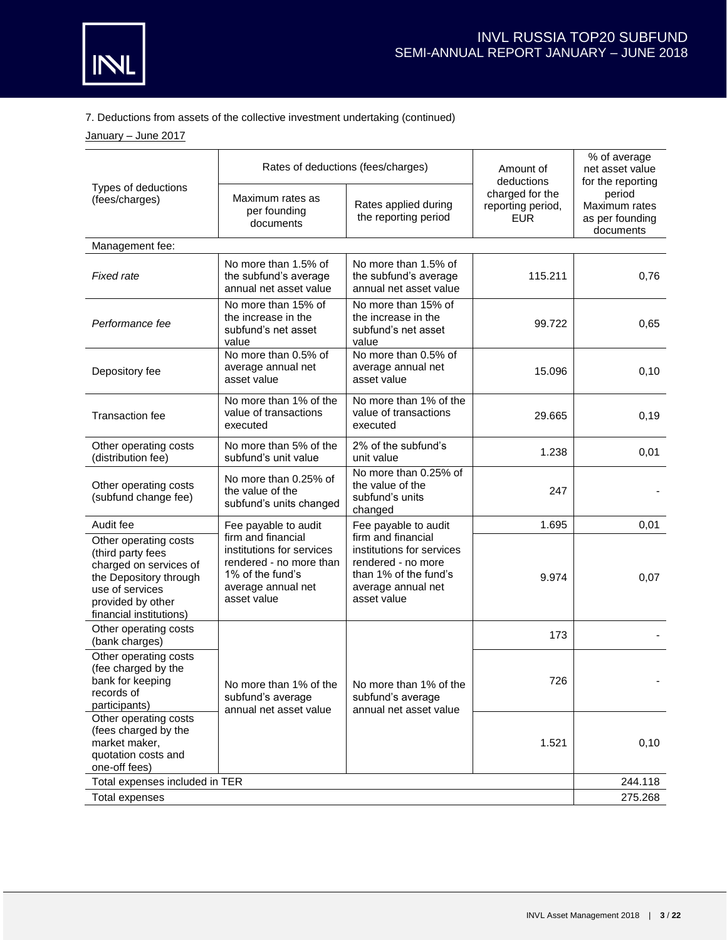

# 7. Deductions from assets of the collective investment undertaking (continued)

January - June 2017

|                                                                                                                                                                   |                                                                                                                                     | Rates of deductions (fees/charges)                                                                                                  | Amount of<br>deductions                            | % of average<br>net asset value<br>for the reporting    |
|-------------------------------------------------------------------------------------------------------------------------------------------------------------------|-------------------------------------------------------------------------------------------------------------------------------------|-------------------------------------------------------------------------------------------------------------------------------------|----------------------------------------------------|---------------------------------------------------------|
| Types of deductions<br>(fees/charges)                                                                                                                             | Maximum rates as<br>Rates applied during<br>per founding<br>the reporting period<br>documents                                       |                                                                                                                                     | charged for the<br>reporting period,<br><b>EUR</b> | period<br>Maximum rates<br>as per founding<br>documents |
| Management fee:                                                                                                                                                   |                                                                                                                                     |                                                                                                                                     |                                                    |                                                         |
| <b>Fixed rate</b>                                                                                                                                                 | No more than 1.5% of<br>the subfund's average<br>annual net asset value                                                             | No more than 1.5% of<br>the subfund's average<br>annual net asset value                                                             | 115.211                                            | 0,76                                                    |
| Performance fee                                                                                                                                                   | No more than 15% of<br>the increase in the<br>subfund's net asset<br>value                                                          | No more than 15% of<br>the increase in the<br>subfund's net asset<br>value                                                          | 99.722                                             | 0,65                                                    |
| Depository fee                                                                                                                                                    | No more than 0.5% of<br>average annual net<br>asset value                                                                           | No more than 0.5% of<br>average annual net<br>asset value                                                                           | 15.096                                             | 0,10                                                    |
| <b>Transaction fee</b>                                                                                                                                            | No more than 1% of the<br>value of transactions<br>executed                                                                         | No more than 1% of the<br>value of transactions<br>executed                                                                         | 29.665                                             | 0,19                                                    |
| Other operating costs<br>(distribution fee)                                                                                                                       | No more than 5% of the<br>subfund's unit value                                                                                      | 2% of the subfund's<br>unit value                                                                                                   | 1.238                                              | 0,01                                                    |
| Other operating costs<br>(subfund change fee)                                                                                                                     | No more than 0.25% of<br>the value of the<br>subfund's units changed                                                                | No more than 0.25% of<br>the value of the<br>subfund's units<br>changed                                                             | 247                                                |                                                         |
| Audit fee                                                                                                                                                         | Fee payable to audit                                                                                                                | Fee payable to audit                                                                                                                | 1.695                                              | 0,01                                                    |
| Other operating costs<br>(third party fees<br>charged on services of<br>the Depository through<br>use of services<br>provided by other<br>financial institutions) | firm and financial<br>institutions for services<br>rendered - no more than<br>1% of the fund's<br>average annual net<br>asset value | firm and financial<br>institutions for services<br>rendered - no more<br>than 1% of the fund's<br>average annual net<br>asset value | 9.974                                              | 0,07                                                    |
| Other operating costs<br>(bank charges)                                                                                                                           |                                                                                                                                     |                                                                                                                                     | 173                                                |                                                         |
| Other operating costs<br>(fee charged by the<br>bank for keeping<br>records of<br>participants)                                                                   | No more than 1% of the<br>subfund's average<br>annual net asset value                                                               | No more than 1% of the<br>subfund's average<br>annual net asset value                                                               | 726                                                |                                                         |
| Other operating costs<br>(fees charged by the<br>market maker,<br>quotation costs and<br>one-off fees)                                                            |                                                                                                                                     |                                                                                                                                     | 1.521                                              | 0,10                                                    |
| Total expenses included in TER                                                                                                                                    |                                                                                                                                     |                                                                                                                                     |                                                    | 244.118                                                 |
| Total expenses                                                                                                                                                    |                                                                                                                                     |                                                                                                                                     |                                                    | 275.268                                                 |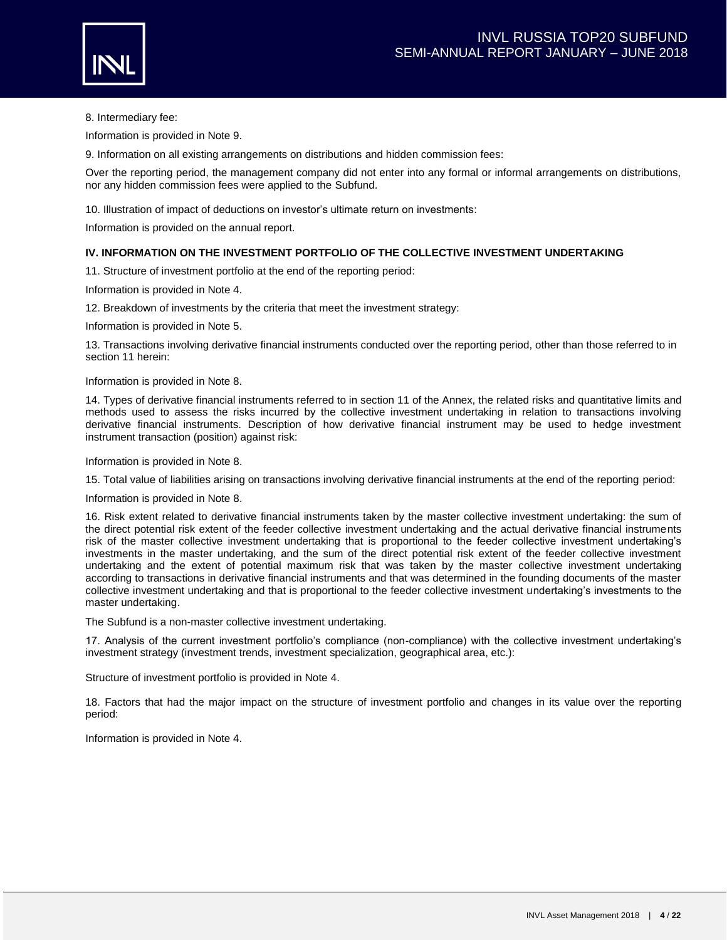

8. Intermediary fee:

Information is provided in Note 9.

9. Information on all existing arrangements on distributions and hidden commission fees:

Over the reporting period, the management company did not enter into any formal or informal arrangements on distributions, nor any hidden commission fees were applied to the Subfund.

10. Illustration of impact of deductions on investor's ultimate return on investments:

Information is provided on the annual report.

### **IV. INFORMATION ON THE INVESTMENT PORTFOLIO OF THE COLLECTIVE INVESTMENT UNDERTAKING**

11. Structure of investment portfolio at the end of the reporting period:

Information is provided in Note 4.

12. Breakdown of investments by the criteria that meet the investment strategy:

Information is provided in Note 5.

13. Transactions involving derivative financial instruments conducted over the reporting period, other than those referred to in section 11 herein:

Information is provided in Note 8.

14. Types of derivative financial instruments referred to in section 11 of the Annex, the related risks and quantitative limits and methods used to assess the risks incurred by the collective investment undertaking in relation to transactions involving derivative financial instruments. Description of how derivative financial instrument may be used to hedge investment instrument transaction (position) against risk:

Information is provided in Note 8.

15. Total value of liabilities arising on transactions involving derivative financial instruments at the end of the reporting period:

Information is provided in Note 8.

16. Risk extent related to derivative financial instruments taken by the master collective investment undertaking: the sum of the direct potential risk extent of the feeder collective investment undertaking and the actual derivative financial instruments risk of the master collective investment undertaking that is proportional to the feeder collective investment undertaking's investments in the master undertaking, and the sum of the direct potential risk extent of the feeder collective investment undertaking and the extent of potential maximum risk that was taken by the master collective investment undertaking according to transactions in derivative financial instruments and that was determined in the founding documents of the master collective investment undertaking and that is proportional to the feeder collective investment undertaking's investments to the master undertaking.

The Subfund is a non-master collective investment undertaking.

17. Analysis of the current investment portfolio's compliance (non-compliance) with the collective investment undertaking's investment strategy (investment trends, investment specialization, geographical area, etc.):

Structure of investment portfolio is provided in Note 4.

18. Factors that had the major impact on the structure of investment portfolio and changes in its value over the reporting period:

Information is provided in Note 4.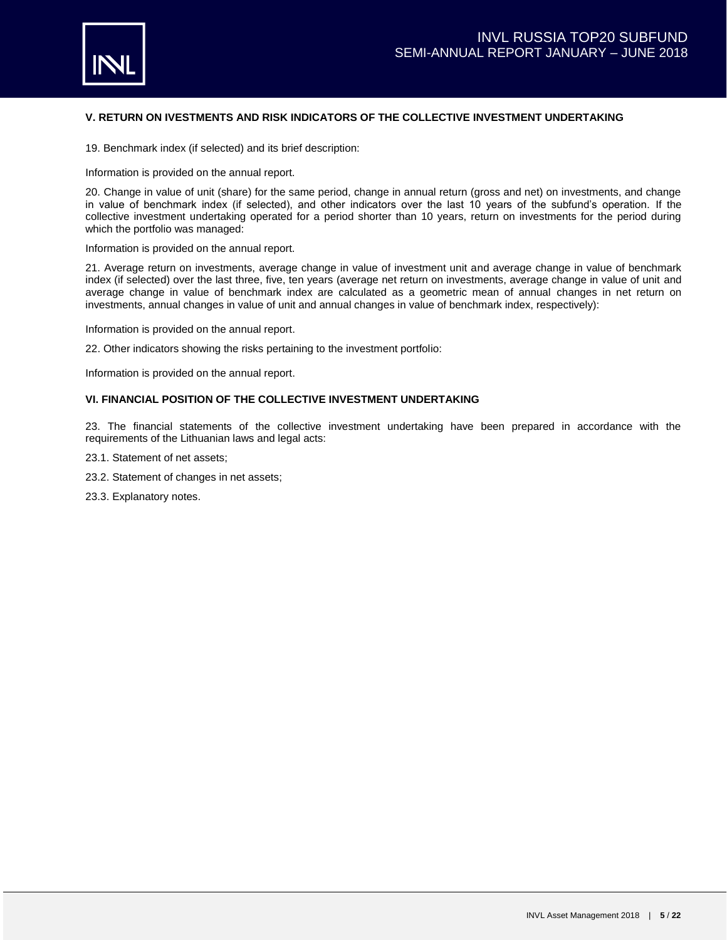

## **V. RETURN ON IVESTMENTS AND RISK INDICATORS OF THE COLLECTIVE INVESTMENT UNDERTAKING**

19. Benchmark index (if selected) and its brief description:

Information is provided on the annual report.

20. Change in value of unit (share) for the same period, change in annual return (gross and net) on investments, and change in value of benchmark index (if selected), and other indicators over the last 10 years of the subfund's operation. If the collective investment undertaking operated for a period shorter than 10 years, return on investments for the period during which the portfolio was managed:

Information is provided on the annual report.

21. Average return on investments, average change in value of investment unit and average change in value of benchmark index (if selected) over the last three, five, ten years (average net return on investments, average change in value of unit and average change in value of benchmark index are calculated as a geometric mean of annual changes in net return on investments, annual changes in value of unit and annual changes in value of benchmark index, respectively):

Information is provided on the annual report.

22. Other indicators showing the risks pertaining to the investment portfolio:

Information is provided on the annual report.

## **VI. FINANCIAL POSITION OF THE COLLECTIVE INVESTMENT UNDERTAKING**

23. The financial statements of the collective investment undertaking have been prepared in accordance with the requirements of the Lithuanian laws and legal acts:

- 23.1. Statement of net assets;
- 23.2. Statement of changes in net assets;
- 23.3. Explanatory notes.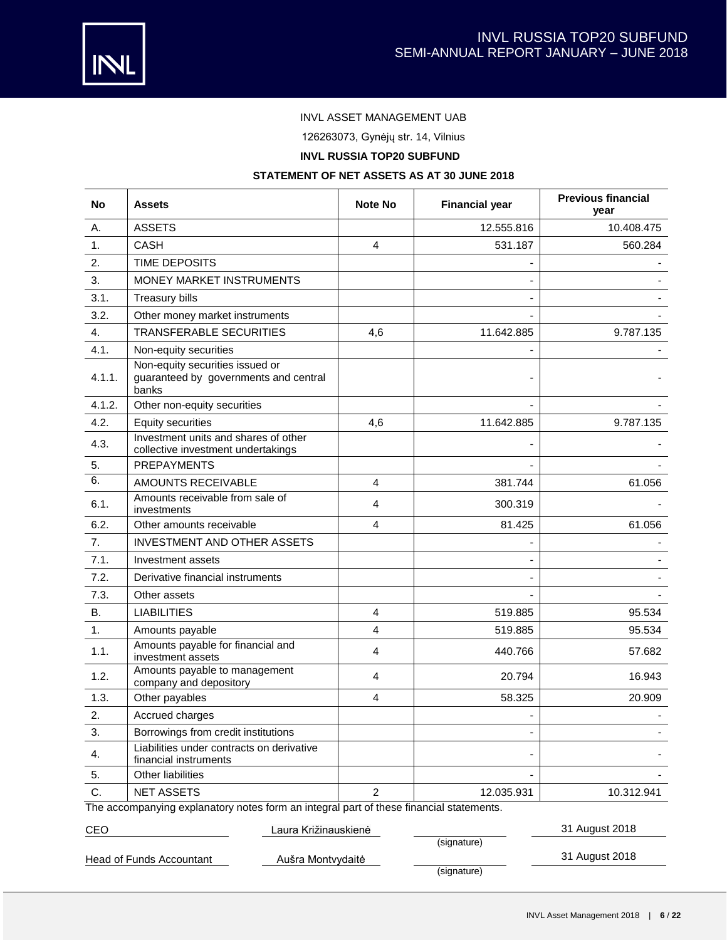

# INVL ASSET MANAGEMENT UAB

126263073, Gynėjų str. 14, Vilnius

# **INVL RUSSIA TOP20 SUBFUND**

# **STATEMENT OF NET ASSETS AS AT 30 JUNE 2018**

| No     | Assets                                                                                  | Note No        | <b>Financial year</b> | <b>Previous financial</b><br>year |
|--------|-----------------------------------------------------------------------------------------|----------------|-----------------------|-----------------------------------|
| А.     | <b>ASSETS</b>                                                                           |                | 12.555.816            | 10.408.475                        |
| 1.     | <b>CASH</b>                                                                             | 4              | 531.187               | 560.284                           |
| 2.     | TIME DEPOSITS                                                                           |                |                       |                                   |
| 3.     | MONEY MARKET INSTRUMENTS                                                                |                |                       |                                   |
| 3.1.   | <b>Treasury bills</b>                                                                   |                |                       |                                   |
| 3.2.   | Other money market instruments                                                          |                |                       |                                   |
| 4.     | <b>TRANSFERABLE SECURITIES</b>                                                          | 4,6            | 11.642.885            | 9.787.135                         |
| 4.1.   | Non-equity securities                                                                   |                |                       |                                   |
| 4.1.1. | Non-equity securities issued or<br>guaranteed by governments and central<br>banks       |                |                       |                                   |
| 4.1.2. | Other non-equity securities                                                             |                |                       |                                   |
| 4.2.   | <b>Equity securities</b>                                                                | 4,6            | 11.642.885            | 9.787.135                         |
| 4.3.   | Investment units and shares of other<br>collective investment undertakings              |                |                       |                                   |
| 5.     | <b>PREPAYMENTS</b>                                                                      |                |                       |                                   |
| 6.     | <b>AMOUNTS RECEIVABLE</b>                                                               | $\overline{4}$ | 381.744               | 61.056                            |
| 6.1.   | Amounts receivable from sale of<br>investments                                          | 4              | 300.319               |                                   |
| 6.2.   | Other amounts receivable                                                                | $\overline{4}$ | 81.425                | 61.056                            |
| 7.     | <b>INVESTMENT AND OTHER ASSETS</b>                                                      |                |                       |                                   |
| 7.1.   | Investment assets                                                                       |                |                       |                                   |
| 7.2.   | Derivative financial instruments                                                        |                |                       |                                   |
| 7.3.   | Other assets                                                                            |                |                       |                                   |
| В.     | <b>LIABILITIES</b>                                                                      | 4              | 519.885               | 95.534                            |
| 1.     | Amounts payable                                                                         | 4              | 519.885               | 95.534                            |
| 1.1.   | Amounts payable for financial and<br>investment assets                                  | $\overline{4}$ | 440.766               | 57.682                            |
| 1.2.   | Amounts payable to management<br>company and depository                                 | 4              | 20.794                | 16.943                            |
| 1.3.   | Other payables                                                                          | $\overline{4}$ | 58.325                | 20,909                            |
| 2.     | Accrued charges                                                                         |                |                       |                                   |
| 3.     | Borrowings from credit institutions                                                     |                |                       |                                   |
| 4.     | Liabilities under contracts on derivative<br>financial instruments                      |                |                       |                                   |
| 5.     | Other liabilities                                                                       |                |                       |                                   |
| C.     | <b>NET ASSETS</b>                                                                       | $\overline{2}$ | 12.035.931            | 10.312.941                        |
|        | The accompanying explanatory notes form an integral part of these financial statements. |                |                       |                                   |

CEO Laura Križinauskienė 31 August 2018

Head of Funds Accountant **Aušra Montvydaitė** 31 August 2018

(signature)

(signature)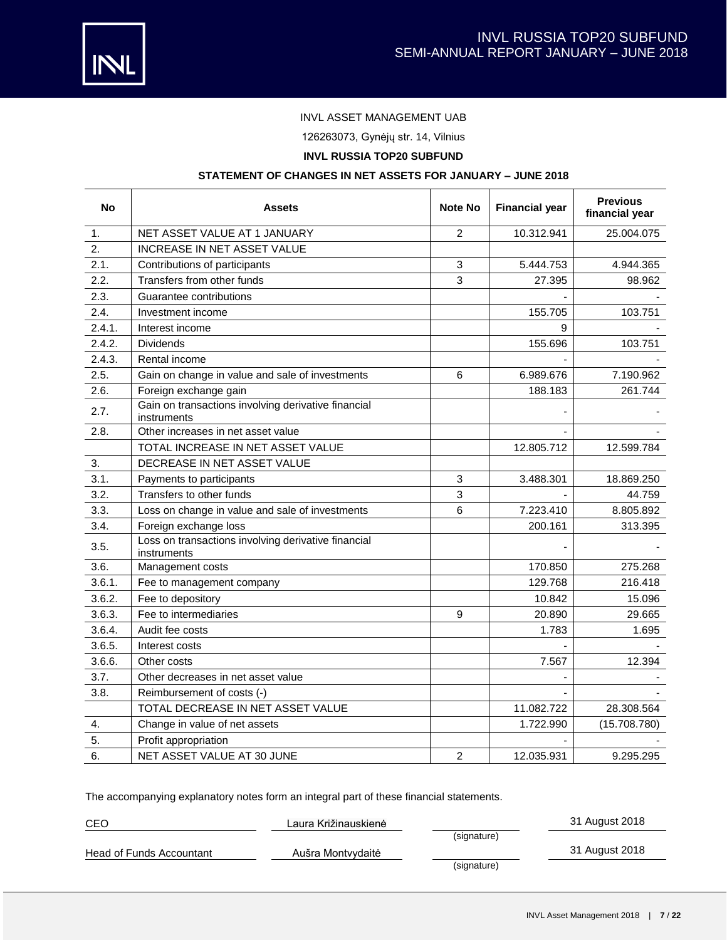



# INVL ASSET MANAGEMENT UAB

126263073, Gynėjų str. 14, Vilnius

# **INVL RUSSIA TOP20 SUBFUND**

# **STATEMENT OF CHANGES IN NET ASSETS FOR JANUARY – JUNE 2018**

| <b>No</b> | <b>Assets</b>                                                      | <b>Note No</b> | <b>Financial year</b> | <b>Previous</b><br>financial year |
|-----------|--------------------------------------------------------------------|----------------|-----------------------|-----------------------------------|
| 1.        | NET ASSET VALUE AT 1 JANUARY                                       | $\overline{2}$ | 10.312.941            | 25.004.075                        |
| 2.        | INCREASE IN NET ASSET VALUE                                        |                |                       |                                   |
| 2.1.      | Contributions of participants                                      | 3              | 5.444.753             | 4.944.365                         |
| 2.2.      | Transfers from other funds                                         | 3              | 27.395                | 98.962                            |
| 2.3.      | Guarantee contributions                                            |                |                       |                                   |
| 2.4.      | Investment income                                                  |                | 155.705               | 103.751                           |
| 2.4.1.    | Interest income                                                    |                | 9                     |                                   |
| 2.4.2.    | <b>Dividends</b>                                                   |                | 155.696               | 103.751                           |
| 2.4.3.    | Rental income                                                      |                |                       |                                   |
| 2.5.      | Gain on change in value and sale of investments                    | 6              | 6.989.676             | 7.190.962                         |
| 2.6.      | Foreign exchange gain                                              |                | 188.183               | 261.744                           |
| 2.7.      | Gain on transactions involving derivative financial<br>instruments |                |                       |                                   |
| 2.8.      | Other increases in net asset value                                 |                |                       |                                   |
|           | TOTAL INCREASE IN NET ASSET VALUE                                  |                | 12.805.712            | 12.599.784                        |
| 3.        | DECREASE IN NET ASSET VALUE                                        |                |                       |                                   |
| 3.1.      | Payments to participants                                           | 3              | 3.488.301             | 18.869.250                        |
| 3.2.      | Transfers to other funds                                           | 3              |                       | 44.759                            |
| 3.3.      | Loss on change in value and sale of investments                    | 6              | 7.223.410             | 8.805.892                         |
| 3.4.      | Foreign exchange loss                                              |                | 200.161               | 313.395                           |
| 3.5.      | Loss on transactions involving derivative financial<br>instruments |                |                       |                                   |
| 3.6.      | Management costs                                                   |                | 170.850               | 275.268                           |
| 3.6.1.    | Fee to management company                                          |                | 129.768               | 216.418                           |
| 3.6.2.    | Fee to depository                                                  |                | 10.842                | 15.096                            |
| 3.6.3.    | Fee to intermediaries                                              | 9              | 20.890                | 29.665                            |
| 3.6.4.    | Audit fee costs                                                    |                | 1.783                 | 1.695                             |
| 3.6.5.    | Interest costs                                                     |                |                       |                                   |
| 3.6.6.    | Other costs                                                        |                | 7.567                 | 12.394                            |
| 3.7.      | Other decreases in net asset value                                 |                |                       |                                   |
| 3.8.      | Reimbursement of costs (-)                                         |                |                       |                                   |
|           | TOTAL DECREASE IN NET ASSET VALUE                                  |                | 11.082.722            | 28.308.564                        |
| 4.        | Change in value of net assets                                      |                | 1.722.990             | (15.708.780)                      |
| 5.        | Profit appropriation                                               |                |                       |                                   |
| 6.        | NET ASSET VALUE AT 30 JUNE                                         | 2              | 12.035.931            | 9.295.295                         |

The accompanying explanatory notes form an integral part of these financial statements.

| CEO                      | Laura Križinauskienė |             | 31 August 2018 |
|--------------------------|----------------------|-------------|----------------|
|                          |                      | (signature) |                |
| Head of Funds Accountant | Aušra Montvydaitė    |             | 31 August 2018 |
|                          |                      | (signature) |                |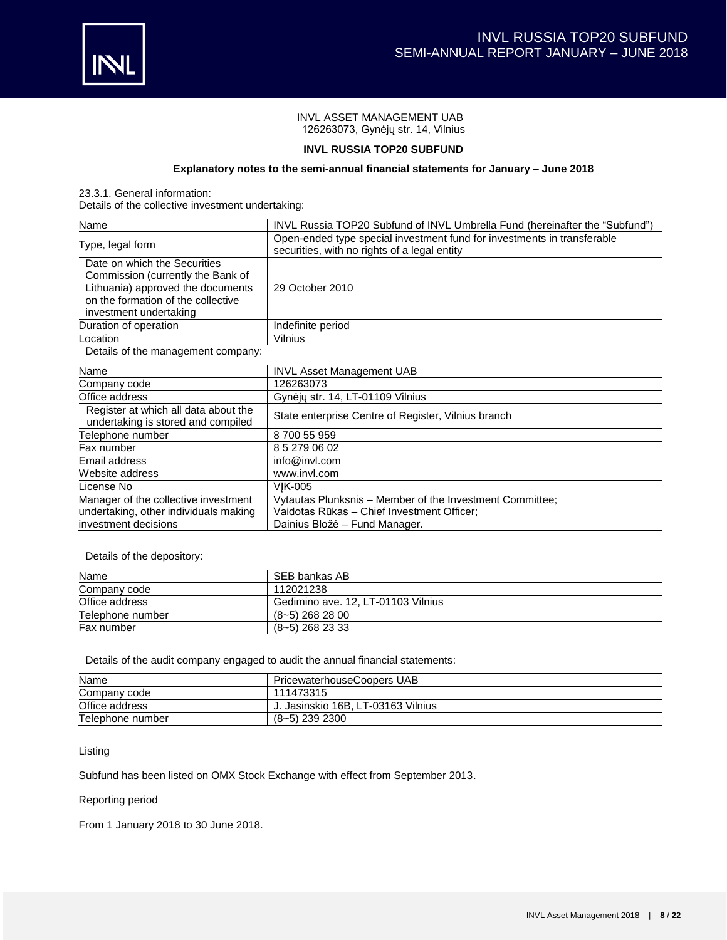

## INVL ASSET MANAGEMENT UAB 126263073, Gynėjų str. 14, Vilnius

## **INVL RUSSIA TOP20 SUBFUND**

## **Explanatory notes to the semi-annual financial statements for January – June 2018**

23.3.1. General information:

Details of the collective investment undertaking:

| Name                                                                                                                                                                   | INVL Russia TOP20 Subfund of INVL Umbrella Fund (hereinafter the "Subfund")                                                             |  |  |  |  |
|------------------------------------------------------------------------------------------------------------------------------------------------------------------------|-----------------------------------------------------------------------------------------------------------------------------------------|--|--|--|--|
| Type, legal form                                                                                                                                                       | Open-ended type special investment fund for investments in transferable<br>securities, with no rights of a legal entity                 |  |  |  |  |
| Date on which the Securities<br>Commission (currently the Bank of<br>Lithuania) approved the documents<br>on the formation of the collective<br>investment undertaking | 29 October 2010                                                                                                                         |  |  |  |  |
| Duration of operation                                                                                                                                                  | Indefinite period                                                                                                                       |  |  |  |  |
| Location                                                                                                                                                               | Vilnius                                                                                                                                 |  |  |  |  |
| Details of the management company:                                                                                                                                     |                                                                                                                                         |  |  |  |  |
| Name                                                                                                                                                                   | <b>INVL Asset Management UAB</b>                                                                                                        |  |  |  |  |
| Company code                                                                                                                                                           | 126263073                                                                                                                               |  |  |  |  |
| Office address                                                                                                                                                         | Gynėjų str. 14, LT-01109 Vilnius                                                                                                        |  |  |  |  |
| Register at which all data about the<br>undertaking is stored and compiled                                                                                             | State enterprise Centre of Register, Vilnius branch                                                                                     |  |  |  |  |
| Telephone number                                                                                                                                                       | 870055959                                                                                                                               |  |  |  |  |
| Fax number                                                                                                                                                             | 852790602                                                                                                                               |  |  |  |  |
| Email address                                                                                                                                                          | info@invl.com                                                                                                                           |  |  |  |  |
| Website address                                                                                                                                                        | www.invl.com                                                                                                                            |  |  |  |  |
| License No                                                                                                                                                             | <b>VIK-005</b>                                                                                                                          |  |  |  |  |
| Manager of the collective investment<br>undertaking, other individuals making<br>investment decisions                                                                  | Vytautas Plunksnis - Member of the Investment Committee;<br>Vaidotas Rūkas - Chief Investment Officer;<br>Dainius Bložė – Fund Manager. |  |  |  |  |

Details of the depository:

| Name             | SEB bankas AB                      |
|------------------|------------------------------------|
| Company code     | 112021238                          |
| Office address   | Gedimino ave. 12, LT-01103 Vilnius |
| Telephone number | $(8-5)$ 268 28 00                  |
| Fax number       | $(8-5)$ 268 23 33                  |

Details of the audit company engaged to audit the annual financial statements:

| Name             | PricewaterhouseCoopers UAB         |
|------------------|------------------------------------|
| Company code     | 111473315                          |
| Office address   | J. Jasinskio 16B. LT-03163 Vilnius |
| Telephone number | $(8-5)$ 239 2300                   |

Listing

Subfund has been listed on OMX Stock Exchange with effect from September 2013.

## Reporting period

From 1 January 2018 to 30 June 2018.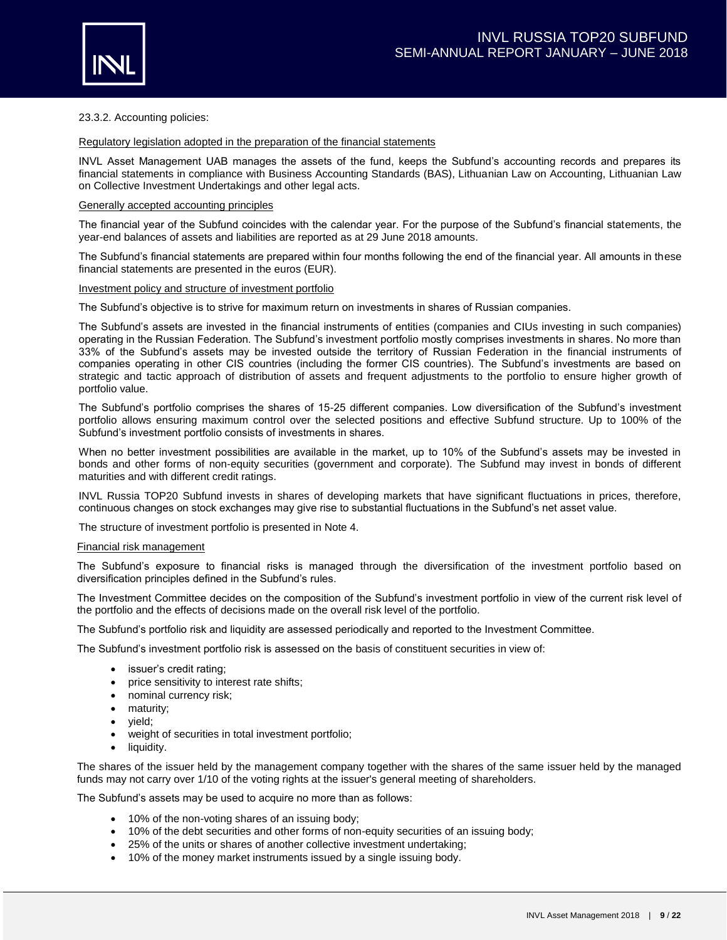

### 23.3.2. Accounting policies:

#### Regulatory legislation adopted in the preparation of the financial statements

INVL Asset Management UAB manages the assets of the fund, keeps the Subfund's accounting records and prepares its financial statements in compliance with Business Accounting Standards (BAS), Lithuanian Law on Accounting, Lithuanian Law on Collective Investment Undertakings and other legal acts.

#### Generally accepted accounting principles

The financial year of the Subfund coincides with the calendar year. For the purpose of the Subfund's financial statements, the year-end balances of assets and liabilities are reported as at 29 June 2018 amounts.

The Subfund's financial statements are prepared within four months following the end of the financial year. All amounts in these financial statements are presented in the euros (EUR).

#### Investment policy and structure of investment portfolio

The Subfund's objective is to strive for maximum return on investments in shares of Russian companies.

The Subfund's assets are invested in the financial instruments of entities (companies and CIUs investing in such companies) operating in the Russian Federation. The Subfund's investment portfolio mostly comprises investments in shares. No more than 33% of the Subfund's assets may be invested outside the territory of Russian Federation in the financial instruments of companies operating in other CIS countries (including the former CIS countries). The Subfund's investments are based on strategic and tactic approach of distribution of assets and frequent adjustments to the portfolio to ensure higher growth of portfolio value.

The Subfund's portfolio comprises the shares of 15-25 different companies. Low diversification of the Subfund's investment portfolio allows ensuring maximum control over the selected positions and effective Subfund structure. Up to 100% of the Subfund's investment portfolio consists of investments in shares.

When no better investment possibilities are available in the market, up to 10% of the Subfund's assets may be invested in bonds and other forms of non-equity securities (government and corporate). The Subfund may invest in bonds of different maturities and with different credit ratings.

INVL Russia TOP20 Subfund invests in shares of developing markets that have significant fluctuations in prices, therefore, continuous changes on stock exchanges may give rise to substantial fluctuations in the Subfund's net asset value.

The structure of investment portfolio is presented in Note 4.

#### Financial risk management

The Subfund's exposure to financial risks is managed through the diversification of the investment portfolio based on diversification principles defined in the Subfund's rules.

The Investment Committee decides on the composition of the Subfund's investment portfolio in view of the current risk level of the portfolio and the effects of decisions made on the overall risk level of the portfolio.

The Subfund's portfolio risk and liquidity are assessed periodically and reported to the Investment Committee.

The Subfund's investment portfolio risk is assessed on the basis of constituent securities in view of:

- issuer's credit rating;
- price sensitivity to interest rate shifts;
- nominal currency risk;
- maturity;
- yield;
- weight of securities in total investment portfolio;
- liquidity.

The shares of the issuer held by the management company together with the shares of the same issuer held by the managed funds may not carry over 1/10 of the voting rights at the issuer's general meeting of shareholders.

The Subfund's assets may be used to acquire no more than as follows:

- 10% of the non-voting shares of an issuing body;
- 10% of the debt securities and other forms of non-equity securities of an issuing body;
- 25% of the units or shares of another collective investment undertaking;
- 10% of the money market instruments issued by a single issuing body.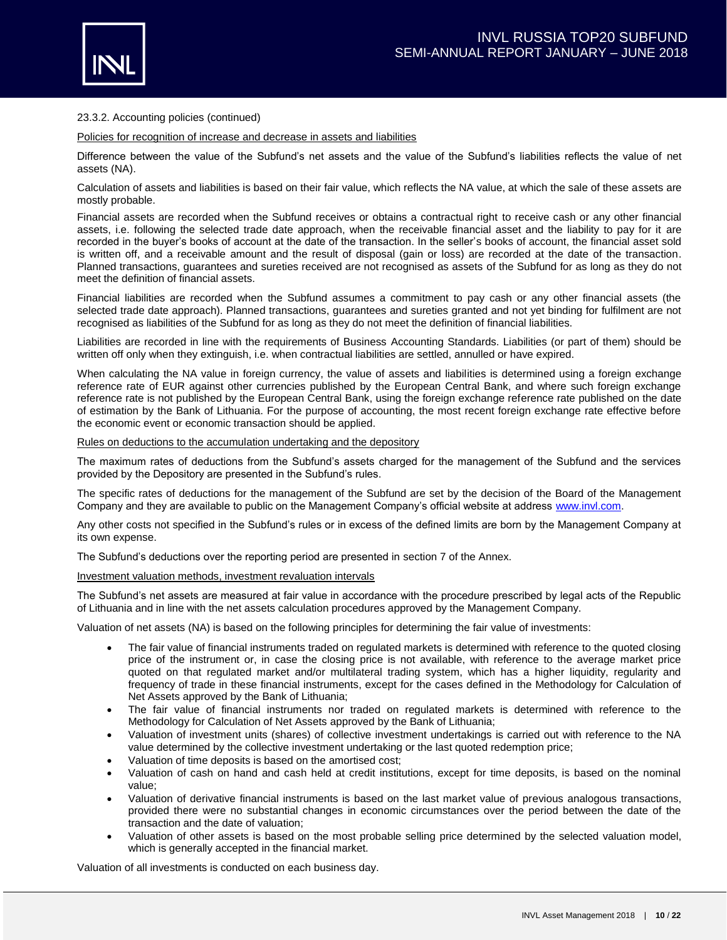

### 23.3.2. Accounting policies (continued)

Policies for recognition of increase and decrease in assets and liabilities

Difference between the value of the Subfund's net assets and the value of the Subfund's liabilities reflects the value of net assets (NA).

Calculation of assets and liabilities is based on their fair value, which reflects the NA value, at which the sale of these assets are mostly probable.

Financial assets are recorded when the Subfund receives or obtains a contractual right to receive cash or any other financial assets, i.e. following the selected trade date approach, when the receivable financial asset and the liability to pay for it are recorded in the buyer's books of account at the date of the transaction. In the seller's books of account, the financial asset sold is written off, and a receivable amount and the result of disposal (gain or loss) are recorded at the date of the transaction. Planned transactions, guarantees and sureties received are not recognised as assets of the Subfund for as long as they do not meet the definition of financial assets.

Financial liabilities are recorded when the Subfund assumes a commitment to pay cash or any other financial assets (the selected trade date approach). Planned transactions, guarantees and sureties granted and not yet binding for fulfilment are not recognised as liabilities of the Subfund for as long as they do not meet the definition of financial liabilities.

Liabilities are recorded in line with the requirements of Business Accounting Standards. Liabilities (or part of them) should be written off only when they extinguish, i.e. when contractual liabilities are settled, annulled or have expired.

When calculating the NA value in foreign currency, the value of assets and liabilities is determined using a foreign exchange reference rate of EUR against other currencies published by the European Central Bank, and where such foreign exchange reference rate is not published by the European Central Bank, using the foreign exchange reference rate published on the date of estimation by the Bank of Lithuania. For the purpose of accounting, the most recent foreign exchange rate effective before the economic event or economic transaction should be applied.

#### Rules on deductions to the accumulation undertaking and the depository

The maximum rates of deductions from the Subfund's assets charged for the management of the Subfund and the services provided by the Depository are presented in the Subfund's rules.

The specific rates of deductions for the management of the Subfund are set by the decision of the Board of the Management Company and they are available to public on the Management Company's official website at address [www.invl.com.](http://www.invl.com/)

Any other costs not specified in the Subfund's rules or in excess of the defined limits are born by the Management Company at its own expense.

The Subfund's deductions over the reporting period are presented in section 7 of the Annex.

#### Investment valuation methods, investment revaluation intervals

The Subfund's net assets are measured at fair value in accordance with the procedure prescribed by legal acts of the Republic of Lithuania and in line with the net assets calculation procedures approved by the Management Company.

Valuation of net assets (NA) is based on the following principles for determining the fair value of investments:

- The fair value of financial instruments traded on regulated markets is determined with reference to the quoted closing price of the instrument or, in case the closing price is not available, with reference to the average market price quoted on that regulated market and/or multilateral trading system, which has a higher liquidity, regularity and frequency of trade in these financial instruments, except for the cases defined in the Methodology for Calculation of Net Assets approved by the Bank of Lithuania;
- The fair value of financial instruments nor traded on regulated markets is determined with reference to the Methodology for Calculation of Net Assets approved by the Bank of Lithuania;
- Valuation of investment units (shares) of collective investment undertakings is carried out with reference to the NA value determined by the collective investment undertaking or the last quoted redemption price;
- Valuation of time deposits is based on the amortised cost;
- Valuation of cash on hand and cash held at credit institutions, except for time deposits, is based on the nominal value;
- Valuation of derivative financial instruments is based on the last market value of previous analogous transactions, provided there were no substantial changes in economic circumstances over the period between the date of the transaction and the date of valuation;
- Valuation of other assets is based on the most probable selling price determined by the selected valuation model, which is generally accepted in the financial market.

Valuation of all investments is conducted on each business day.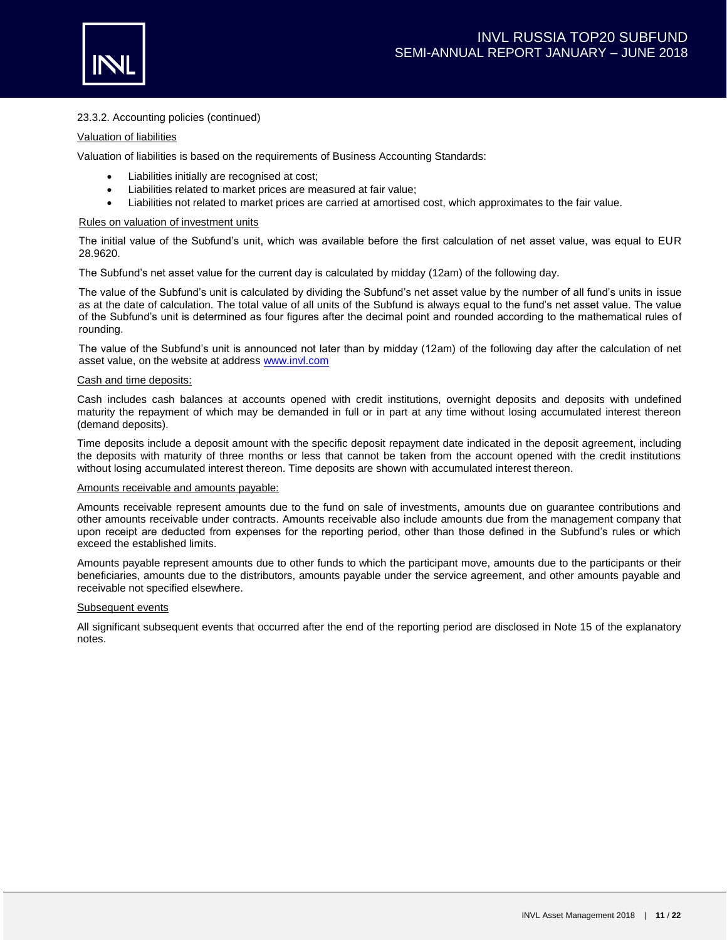

## 23.3.2. Accounting policies (continued)

### Valuation of liabilities

Valuation of liabilities is based on the requirements of Business Accounting Standards:

- Liabilities initially are recognised at cost;
- Liabilities related to market prices are measured at fair value;
- Liabilities not related to market prices are carried at amortised cost, which approximates to the fair value.

### Rules on valuation of investment units

The initial value of the Subfund's unit, which was available before the first calculation of net asset value, was equal to EUR 28.9620.

The Subfund's net asset value for the current day is calculated by midday (12am) of the following day.

The value of the Subfund's unit is calculated by dividing the Subfund's net asset value by the number of all fund's units in issue as at the date of calculation. The total value of all units of the Subfund is always equal to the fund's net asset value. The value of the Subfund's unit is determined as four figures after the decimal point and rounded according to the mathematical rules of rounding.

The value of the Subfund's unit is announced not later than by midday (12am) of the following day after the calculation of net asset value, on the website at address [www.invl.com](http://www.invl.com/)

### Cash and time deposits:

Cash includes cash balances at accounts opened with credit institutions, overnight deposits and deposits with undefined maturity the repayment of which may be demanded in full or in part at any time without losing accumulated interest thereon (demand deposits).

Time deposits include a deposit amount with the specific deposit repayment date indicated in the deposit agreement, including the deposits with maturity of three months or less that cannot be taken from the account opened with the credit institutions without losing accumulated interest thereon. Time deposits are shown with accumulated interest thereon.

### Amounts receivable and amounts payable:

Amounts receivable represent amounts due to the fund on sale of investments, amounts due on guarantee contributions and other amounts receivable under contracts. Amounts receivable also include amounts due from the management company that upon receipt are deducted from expenses for the reporting period, other than those defined in the Subfund's rules or which exceed the established limits.

Amounts payable represent amounts due to other funds to which the participant move, amounts due to the participants or their beneficiaries, amounts due to the distributors, amounts payable under the service agreement, and other amounts payable and receivable not specified elsewhere.

### Subsequent events

All significant subsequent events that occurred after the end of the reporting period are disclosed in Note 15 of the explanatory notes.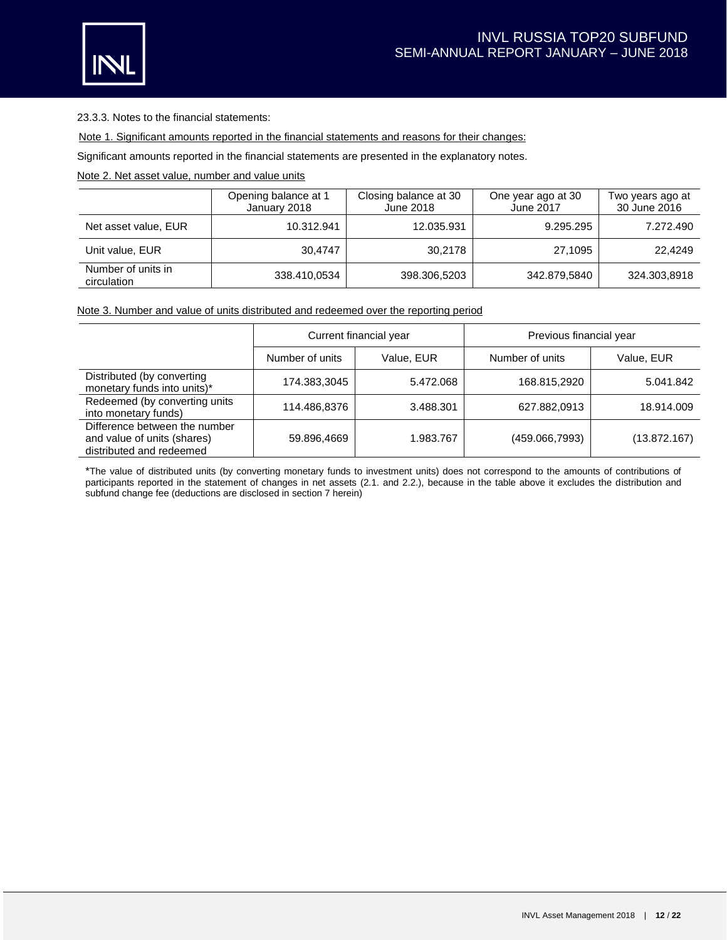

23.3.3. Notes to the financial statements:

Note 1. Significant amounts reported in the financial statements and reasons for their changes:

Significant amounts reported in the financial statements are presented in the explanatory notes.

# Note 2. Net asset value, number and value units

|                                   | Opening balance at 1<br>January 2018 | Closing balance at 30<br>June 2018 | One year ago at 30<br>June 2017 | Two years ago at<br>30 June 2016 |
|-----------------------------------|--------------------------------------|------------------------------------|---------------------------------|----------------------------------|
| Net asset value, EUR              | 10.312.941                           | 12.035.931                         | 9.295.295                       | 7.272.490                        |
| Unit value, EUR                   | 30.4747                              | 30.2178                            | 27.1095                         | 22.4249                          |
| Number of units in<br>circulation | 338.410,0534                         | 398.306,5203                       | 342.879,5840                    | 324.303,8918                     |

## Note 3. Number and value of units distributed and redeemed over the reporting period

|                                                                                          |                 | Current financial year | Previous financial year |              |  |
|------------------------------------------------------------------------------------------|-----------------|------------------------|-------------------------|--------------|--|
|                                                                                          | Number of units | Value, EUR             | Number of units         | Value, EUR   |  |
| Distributed (by converting<br>monetary funds into units)*                                | 174.383,3045    | 5.472.068              | 168.815,2920            | 5.041.842    |  |
| Redeemed (by converting units<br>into monetary funds)                                    | 114.486,8376    | 3.488.301              | 627.882,0913            | 18.914.009   |  |
| Difference between the number<br>and value of units (shares)<br>distributed and redeemed | 59.896,4669     | 1.983.767              | (459.066,7993)          | (13.872.167) |  |

\*The value of distributed units (by converting monetary funds to investment units) does not correspond to the amounts of contributions of participants reported in the statement of changes in net assets (2.1. and 2.2.), because in the table above it excludes the distribution and subfund change fee (deductions are disclosed in section 7 herein)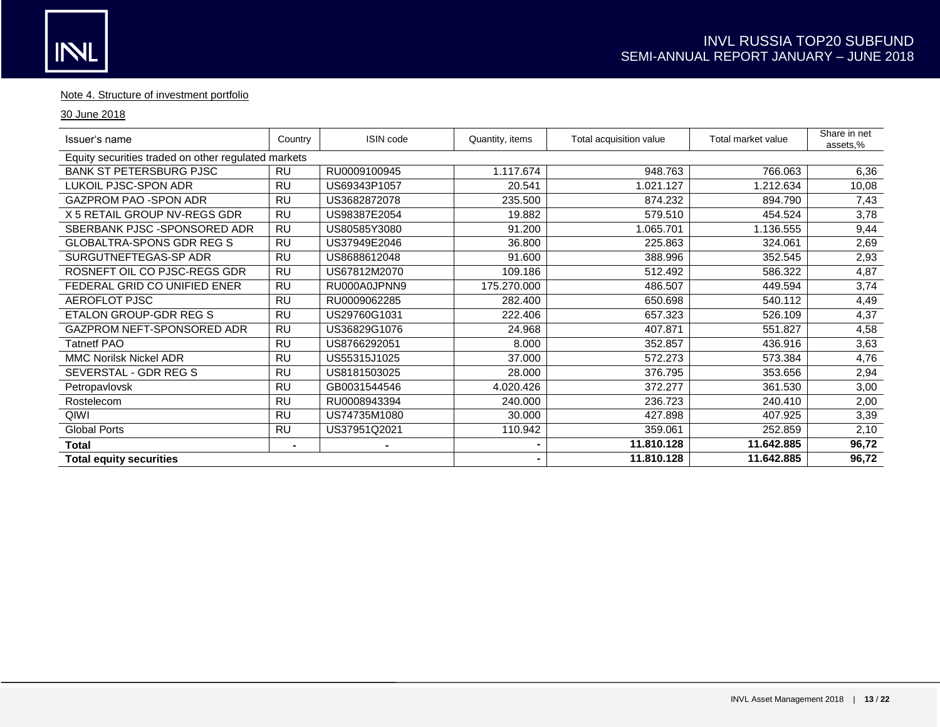## Note 4. Structure of investment portfolio

## 30 June 2018

| Issuer's name                                       | Country        | ISIN code    | Quantity, items | Total acquisition value | Total market value | Share in net<br>assets,% |
|-----------------------------------------------------|----------------|--------------|-----------------|-------------------------|--------------------|--------------------------|
| Equity securities traded on other regulated markets |                |              |                 |                         |                    |                          |
| <b>BANK ST PETERSBURG PJSC</b>                      | RU             | RU0009100945 | 1.117.674       | 948.763                 | 766.063            | 6,36                     |
| LUKOIL PJSC-SPON ADR                                | <b>RU</b>      | US69343P1057 | 20.541          | 1.021.127               | 1.212.634          | 10,08                    |
| GAZPROM PAO - SPON ADR                              | <b>RU</b>      | US3682872078 | 235.500         | 874.232                 | 894.790            | 7,43                     |
| X 5 RETAIL GROUP NV-REGS GDR                        | <b>RU</b>      | US98387E2054 | 19.882          | 579.510                 | 454.524            | 3,78                     |
| SBERBANK PJSC - SPONSORED ADR                       | <b>RU</b>      | US80585Y3080 | 91.200          | 1.065.701               | 1.136.555          | 9,44                     |
| <b>GLOBALTRA-SPONS GDR REG S</b>                    | <b>RU</b>      | US37949E2046 | 36.800          | 225.863                 | 324.061            | 2,69                     |
| SURGUTNEFTEGAS-SP ADR                               | <b>RU</b>      | US8688612048 | 91.600          | 388.996                 | 352.545            | 2,93                     |
| ROSNEFT OIL CO PJSC-REGS GDR                        | <b>RU</b>      | US67812M2070 | 109.186         | 512.492                 | 586.322            | 4,87                     |
| FEDERAL GRID CO UNIFIED ENER                        | <b>RU</b>      | RU000A0JPNN9 | 175.270.000     | 486.507                 | 449.594            | 3,74                     |
| AEROFLOT PJSC                                       | <b>RU</b>      | RU0009062285 | 282.400         | 650.698                 | 540.112            | 4,49                     |
| ETALON GROUP-GDR REG S                              | RU             | US29760G1031 | 222.406         | 657.323                 | 526.109            | 4,37                     |
| GAZPROM NEFT-SPONSORED ADR                          | <b>RU</b>      | US36829G1076 | 24.968          | 407.871                 | 551.827            | 4,58                     |
| <b>Tatnetf PAO</b>                                  | <b>RU</b>      | US8766292051 | 8.000           | 352.857                 | 436.916            | 3,63                     |
| <b>MMC Norilsk Nickel ADR</b>                       | RU             | US55315J1025 | 37.000          | 572.273                 | 573.384            | 4,76                     |
| SEVERSTAL - GDR REG S                               | <b>RU</b>      | US8181503025 | 28.000          | 376.795                 | 353.656            | 2,94                     |
| Petropavlovsk                                       | RU             | GB0031544546 | 4.020.426       | 372.277                 | 361.530            | 3,00                     |
| Rostelecom                                          | <b>RU</b>      | RU0008943394 | 240.000         | 236.723                 | 240.410            | 2,00                     |
| QIWI                                                | <b>RU</b>      | US74735M1080 | 30.000          | 427.898                 | 407.925            | 3,39                     |
| <b>Global Ports</b>                                 | RU             | US37951Q2021 | 110.942         | 359.061                 | 252.859            | 2,10                     |
| <b>Total</b>                                        | $\blacksquare$ |              |                 | 11.810.128              | 11.642.885         | 96,72                    |
| <b>Total equity securities</b>                      |                |              |                 | 11.810.128              | 11.642.885         | 96,72                    |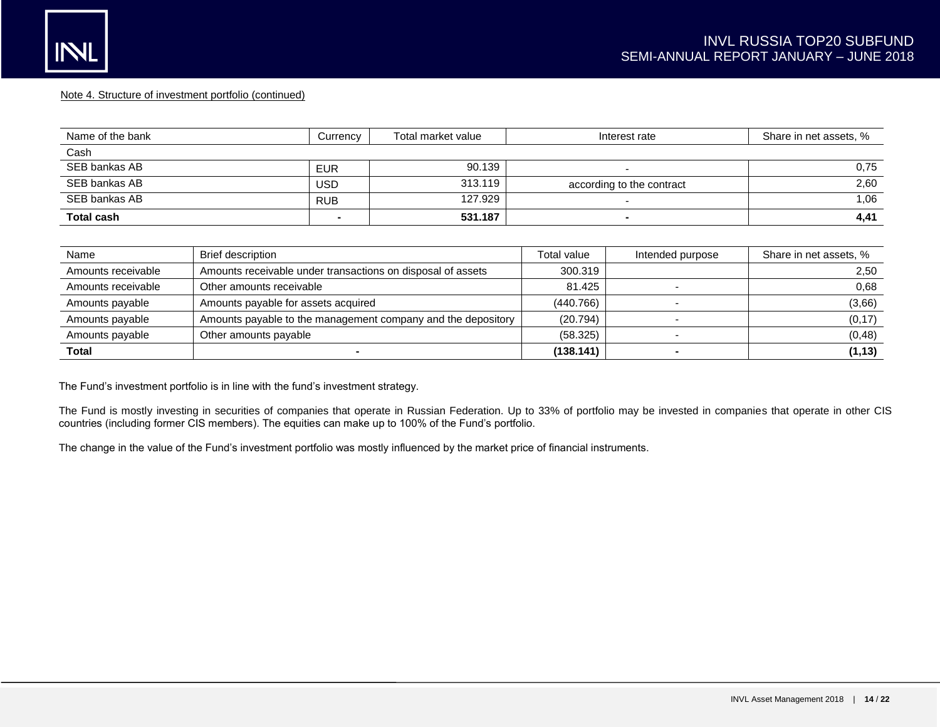### Note 4. Structure of investment portfolio (continued)

| Name of the bank  | Currency   | Total market value | Interest rate             | Share in net assets, % |
|-------------------|------------|--------------------|---------------------------|------------------------|
| Cash              |            |                    |                           |                        |
| SEB bankas AB     | <b>EUR</b> | 90.139             |                           | 0.75                   |
| SEB bankas AB     | USD        | 313.119            | according to the contract | 2,60                   |
| SEB bankas AB     | <b>RUB</b> | 127.929            |                           | 1.06                   |
| <b>Total cash</b> |            | 531.187            | $\sim$                    | 4,41                   |

| Name               | <b>Brief description</b>                                     | Total value | Intended purpose | Share in net assets, % |
|--------------------|--------------------------------------------------------------|-------------|------------------|------------------------|
| Amounts receivable | Amounts receivable under transactions on disposal of assets  | 300.319     |                  | 2,50                   |
| Amounts receivable | Other amounts receivable                                     | 81.425      |                  | 0.68                   |
| Amounts payable    | Amounts payable for assets acquired                          | (440.766)   |                  | (3,66)                 |
| Amounts payable    | Amounts payable to the management company and the depository | (20.794)    |                  | (0, 17)                |
| Amounts payable    | Other amounts payable                                        | (58.325)    |                  | (0, 48)                |
| <b>Total</b>       |                                                              | (138.141)   |                  | (1, 13)                |

The Fund's investment portfolio is in line with the fund's investment strategy.

The Fund is mostly investing in securities of companies that operate in Russian Federation. Up to 33% of portfolio may be invested in companies that operate in other CIS countries (including former CIS members). The equities can make up to 100% of the Fund's portfolio.

The change in the value of the Fund's investment portfolio was mostly influenced by the market price of financial instruments.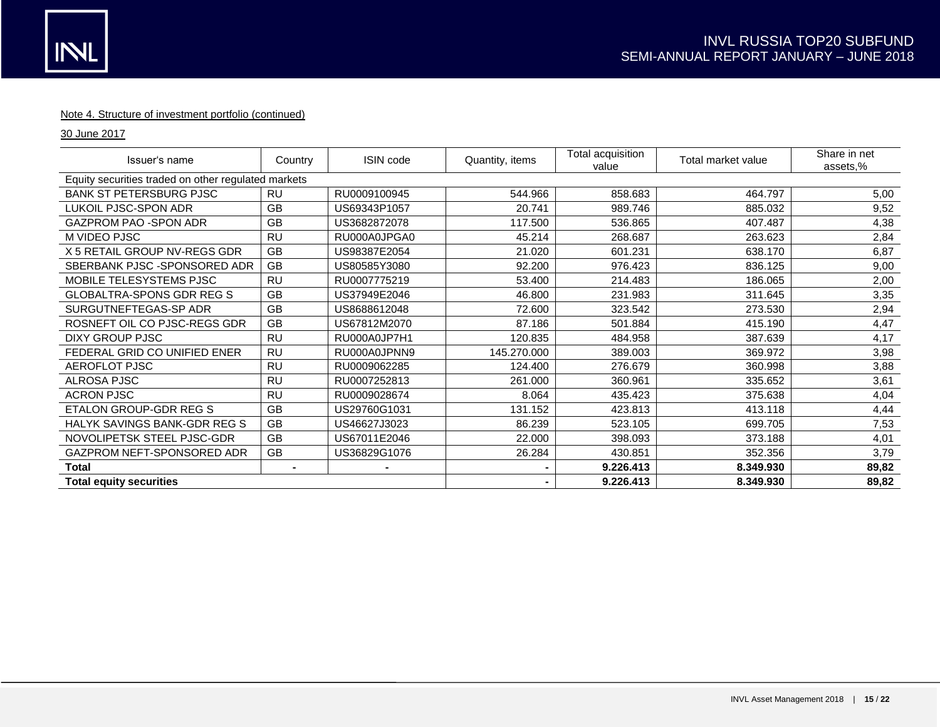## Note 4. Structure of investment portfolio (continued)

30 June 2017

| Issuer's name                                       | Country        | ISIN code      | Quantity, items | Total acquisition<br>value | Total market value | Share in net<br>assets,% |
|-----------------------------------------------------|----------------|----------------|-----------------|----------------------------|--------------------|--------------------------|
| Equity securities traded on other regulated markets |                |                |                 |                            |                    |                          |
| <b>BANK ST PETERSBURG PJSC</b>                      | RU             | RU0009100945   | 544.966         | 858.683                    | 464.797            | 5,00                     |
| LUKOIL PJSC-SPON ADR                                | GB             | US69343P1057   | 20.741          | 989.746                    | 885.032            | 9,52                     |
| GAZPROM PAO - SPON ADR                              | <b>GB</b>      | US3682872078   | 117.500         | 536.865                    | 407.487            | 4,38                     |
| M VIDEO PJSC                                        | <b>RU</b>      | RU000A0JPGA0   | 45.214          | 268.687                    | 263.623            | 2,84                     |
| X 5 RETAIL GROUP NV-REGS GDR                        | GB             | US98387E2054   | 21.020          | 601.231                    | 638.170            | 6,87                     |
| SBERBANK PJSC - SPONSORED ADR                       | <b>GB</b>      | US80585Y3080   | 92.200          | 976.423                    | 836.125            | 9,00                     |
| MOBILE TELESYSTEMS PJSC                             | <b>RU</b>      | RU0007775219   | 53.400          | 214.483                    | 186.065            | 2,00                     |
| <b>GLOBALTRA-SPONS GDR REG S</b>                    | GB             | US37949E2046   | 46.800          | 231.983                    | 311.645            | 3,35                     |
| SURGUTNEFTEGAS-SP ADR                               | GB             | US8688612048   | 72.600          | 323.542                    | 273.530            | 2,94                     |
| ROSNEFT OIL CO PJSC-REGS GDR                        | GB             | US67812M2070   | 87.186          | 501.884                    | 415.190            | 4,47                     |
| DIXY GROUP PJSC                                     | <b>RU</b>      | RU000A0JP7H1   | 120.835         | 484.958                    | 387.639            | 4,17                     |
| FEDERAL GRID CO UNIFIED ENER                        | <b>RU</b>      | RU000A0JPNN9   | 145.270.000     | 389.003                    | 369.972            | 3,98                     |
| AEROFLOT PJSC                                       | <b>RU</b>      | RU0009062285   | 124.400         | 276.679                    | 360.998            | 3,88                     |
| <b>ALROSA PJSC</b>                                  | <b>RU</b>      | RU0007252813   | 261.000         | 360.961                    | 335.652            | 3,61                     |
| <b>ACRON PJSC</b>                                   | <b>RU</b>      | RU0009028674   | 8.064           | 435.423                    | 375.638            | 4,04                     |
| ETALON GROUP-GDR REG S                              | <b>GB</b>      | US29760G1031   | 131.152         | 423.813                    | 413.118            | 4,44                     |
| <b>HALYK SAVINGS BANK-GDR REG S</b>                 | <b>GB</b>      | US46627J3023   | 86.239          | 523.105                    | 699.705            | 7,53                     |
| NOVOLIPETSK STEEL PJSC-GDR                          | <b>GB</b>      | US67011E2046   | 22.000          | 398.093                    | 373.188            | 4,01                     |
| GAZPROM NEFT-SPONSORED ADR                          | GB             | US36829G1076   | 26.284          | 430.851                    | 352.356            | 3,79                     |
| <b>Total</b>                                        | $\blacksquare$ | $\blacksquare$ |                 | 9.226.413                  | 8.349.930          | 89,82                    |
| <b>Total equity securities</b>                      |                |                |                 | 9.226.413                  | 8.349.930          | 89,82                    |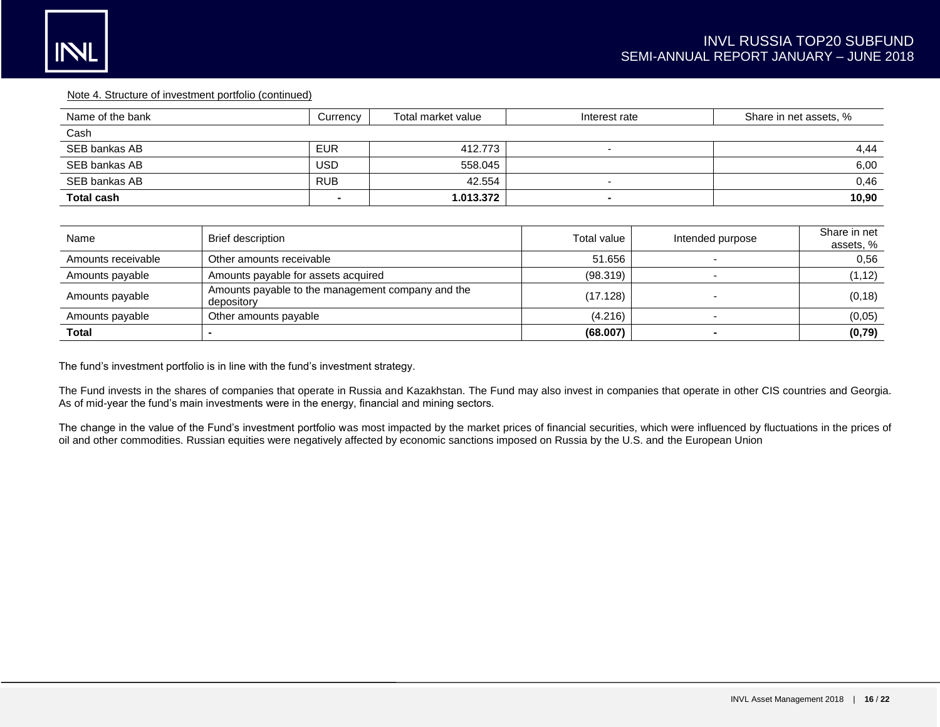#### Note 4. Structure of investment portfolio (continued)

| Name of the bank  | Currency   | Total market value | Interest rate | Share in net assets, % |
|-------------------|------------|--------------------|---------------|------------------------|
| Cash              |            |                    |               |                        |
| SEB bankas AB     | <b>EUR</b> | 412.773            |               | 4,44                   |
| SEB bankas AB     | USD        | 558.045            |               | 6,00                   |
| SEB bankas AB     | <b>RUB</b> | 42.554             |               | 0,46                   |
| <b>Total cash</b> |            | 1.013.372          |               | 10,90                  |
|                   |            |                    |               |                        |

| Name               | <b>Brief description</b>                                        | Total value | Intended purpose | Share in net<br>assets, % |
|--------------------|-----------------------------------------------------------------|-------------|------------------|---------------------------|
| Amounts receivable | Other amounts receivable                                        | 51.656      |                  | 0.56                      |
| Amounts payable    | Amounts payable for assets acquired                             | (98.319)    |                  | (1, 12)                   |
| Amounts payable    | Amounts payable to the management company and the<br>depository | (17.128)    |                  | (0, 18)                   |
| Amounts payable    | Other amounts payable                                           | (4.216)     |                  | (0,05)                    |
| <b>Total</b>       |                                                                 | (68.007)    |                  | (0, 79)                   |

The fund's investment portfolio is in line with the fund's investment strategy.

The Fund invests in the shares of companies that operate in Russia and Kazakhstan. The Fund may also invest in companies that operate in other CIS countries and Georgia. As of mid-year the fund's main investments were in the energy, financial and mining sectors.

The change in the value of the Fund's investment portfolio was most impacted by the market prices of financial securities, which were influenced by fluctuations in the prices of oil and other commodities. Russian equities were negatively affected by economic sanctions imposed on Russia by the U.S. and the European Union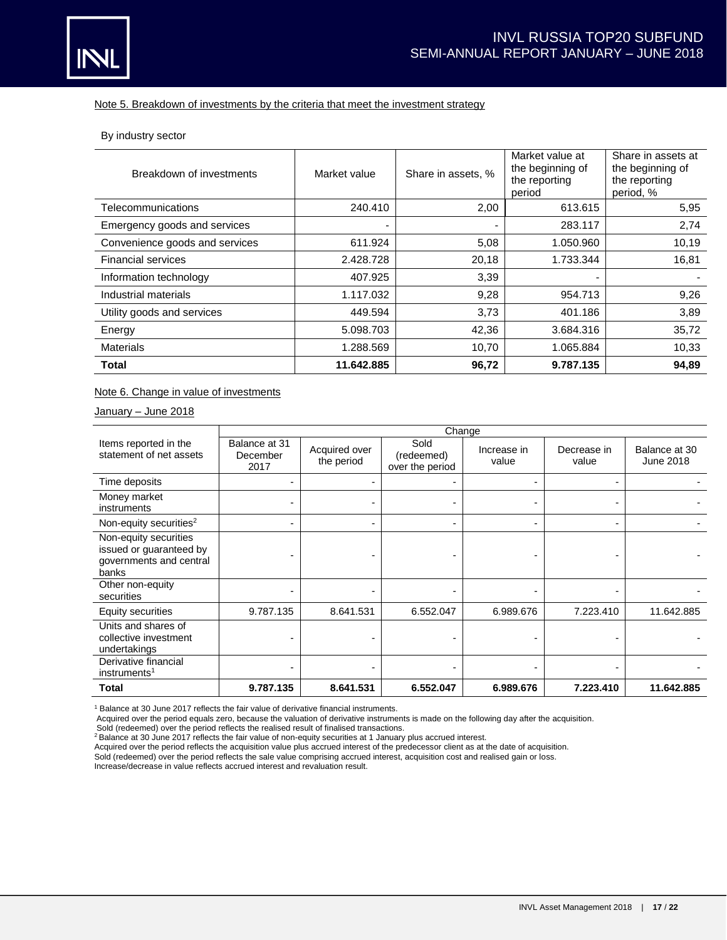## Note 5. Breakdown of investments by the criteria that meet the investment strategy

By industry sector

| Breakdown of investments       | Market value | Share in assets, % | Market value at<br>the beginning of<br>the reporting<br>period | Share in assets at<br>the beginning of<br>the reporting<br>period, % |
|--------------------------------|--------------|--------------------|----------------------------------------------------------------|----------------------------------------------------------------------|
| Telecommunications             | 240.410      | 2,00               | 613.615                                                        | 5,95                                                                 |
| Emergency goods and services   |              |                    | 283.117                                                        | 2,74                                                                 |
| Convenience goods and services | 611.924      | 5,08               | 1.050.960                                                      | 10,19                                                                |
| <b>Financial services</b>      | 2.428.728    | 20,18              | 1.733.344                                                      | 16,81                                                                |
| Information technology         | 407.925      | 3,39               | ۰                                                              |                                                                      |
| Industrial materials           | 1.117.032    | 9,28               | 954.713                                                        | 9,26                                                                 |
| Utility goods and services     | 449.594      | 3,73               | 401.186                                                        | 3,89                                                                 |
| Energy                         | 5.098.703    | 42,36              | 3.684.316                                                      | 35,72                                                                |
| Materials                      | 1.288.569    | 10,70              | 1.065.884                                                      | 10,33                                                                |
| <b>Total</b>                   | 11.642.885   | 96,72              | 9.787.135                                                      | 94,89                                                                |

Note 6. Change in value of investments

January – June 2018

|                                                                                      | Change                            |                             |                                       |                      |                      |                            |
|--------------------------------------------------------------------------------------|-----------------------------------|-----------------------------|---------------------------------------|----------------------|----------------------|----------------------------|
| Items reported in the<br>statement of net assets                                     | Balance at 31<br>December<br>2017 | Acquired over<br>the period | Sold<br>(redeemed)<br>over the period | Increase in<br>value | Decrease in<br>value | Balance at 30<br>June 2018 |
| Time deposits                                                                        | ۰.                                |                             |                                       |                      |                      |                            |
| Money market<br>instruments                                                          | -                                 |                             |                                       |                      |                      |                            |
| Non-equity securities <sup>2</sup>                                                   | $\overline{\phantom{0}}$          |                             |                                       |                      |                      |                            |
| Non-equity securities<br>issued or guaranteed by<br>governments and central<br>banks |                                   |                             |                                       |                      |                      |                            |
| Other non-equity<br>securities                                                       |                                   |                             |                                       |                      |                      |                            |
| Equity securities                                                                    | 9.787.135                         | 8.641.531                   | 6.552.047                             | 6.989.676            | 7.223.410            | 11.642.885                 |
| Units and shares of<br>collective investment<br>undertakings                         |                                   |                             |                                       |                      |                      |                            |
| Derivative financial<br>instruments <sup>1</sup>                                     |                                   |                             |                                       |                      |                      |                            |
| Total                                                                                | 9.787.135                         | 8.641.531                   | 6.552.047                             | 6.989.676            | 7.223.410            | 11.642.885                 |

<sup>1</sup> Balance at 30 June 2017 reflects the fair value of derivative financial instruments.

Acquired over the period equals zero, because the valuation of derivative instruments is made on the following day after the acquisition.

Sold (redeemed) over the period reflects the realised result of finalised transactions. <sup>2</sup>Balance at 30 June 2017 reflects the fair value of non-equity securities at 1 January plus accrued interest.

Acquired over the period reflects the acquisition value plus accrued interest of the predecessor client as at the date of acquisition.

Sold (redeemed) over the period reflects the sale value comprising accrued interest, acquisition cost and realised gain or loss.

Increase/decrease in value reflects accrued interest and revaluation result.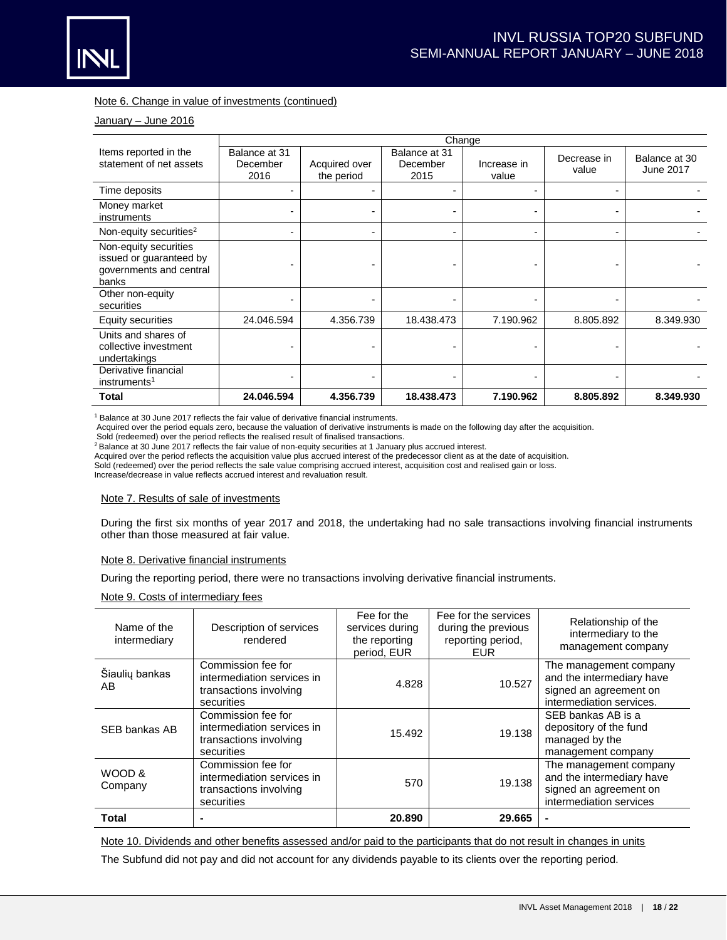

## Note 6. Change in value of investments (continued)

## January - June 2016

|                                                                                      | Change                            |                             |                                   |                      |                      |                            |
|--------------------------------------------------------------------------------------|-----------------------------------|-----------------------------|-----------------------------------|----------------------|----------------------|----------------------------|
| Items reported in the<br>statement of net assets                                     | Balance at 31<br>December<br>2016 | Acquired over<br>the period | Balance at 31<br>December<br>2015 | Increase in<br>value | Decrease in<br>value | Balance at 30<br>June 2017 |
| Time deposits                                                                        | ۰.                                |                             |                                   |                      |                      |                            |
| Money market<br>instruments                                                          | $\blacksquare$                    | -                           | $\blacksquare$                    |                      |                      |                            |
| Non-equity securities <sup>2</sup>                                                   | $\blacksquare$                    |                             |                                   |                      |                      |                            |
| Non-equity securities<br>issued or guaranteed by<br>governments and central<br>banks |                                   |                             |                                   |                      |                      |                            |
| Other non-equity<br>securities                                                       | ۰                                 |                             | $\blacksquare$                    |                      |                      |                            |
| Equity securities                                                                    | 24.046.594                        | 4.356.739                   | 18.438.473                        | 7.190.962            | 8.805.892            | 8.349.930                  |
| Units and shares of<br>collective investment<br>undertakings                         |                                   |                             |                                   |                      |                      |                            |
| Derivative financial<br>instruments <sup>1</sup>                                     |                                   |                             |                                   |                      |                      |                            |
| Total                                                                                | 24.046.594                        | 4.356.739                   | 18.438.473                        | 7.190.962            | 8.805.892            | 8.349.930                  |

<sup>1</sup> Balance at 30 June 2017 reflects the fair value of derivative financial instruments.

Acquired over the period equals zero, because the valuation of derivative instruments is made on the following day after the acquisition.

Sold (redeemed) over the period reflects the realised result of finalised transactions.

<sup>2</sup> Balance at 30 June 2017 reflects the fair value of non-equity securities at 1 January plus accrued interest.

Acquired over the period reflects the acquisition value plus accrued interest of the predecessor client as at the date of acquisition.

Sold (redeemed) over the period reflects the sale value comprising accrued interest, acquisition cost and realised gain or loss.

Increase/decrease in value reflects accrued interest and revaluation result.

## Note 7. Results of sale of investments

During the first six months of year 2017 and 2018, the undertaking had no sale transactions involving financial instruments other than those measured at fair value.

#### Note 8. Derivative financial instruments

During the reporting period, there were no transactions involving derivative financial instruments.

Note 9. Costs of intermediary fees

| Name of the<br>intermediary | Description of services<br>rendered                                                      | Fee for the<br>services during<br>the reporting<br>period, EUR | Fee for the services<br>during the previous<br>reporting period,<br>EUR | Relationship of the<br>intermediary to the<br>management company                                          |
|-----------------------------|------------------------------------------------------------------------------------------|----------------------------------------------------------------|-------------------------------------------------------------------------|-----------------------------------------------------------------------------------------------------------|
| Šiaulių bankas<br>AB.       | Commission fee for<br>intermediation services in<br>transactions involving<br>securities | 4.828                                                          | 10.527                                                                  | The management company<br>and the intermediary have<br>signed an agreement on<br>intermediation services. |
| SEB bankas AB               | Commission fee for<br>intermediation services in<br>transactions involving<br>securities | 15.492                                                         | 19.138                                                                  | SEB bankas AB is a<br>depository of the fund<br>managed by the<br>management company                      |
| WOOD &<br>Company           | Commission fee for<br>intermediation services in<br>transactions involving<br>securities | 570                                                            | 19.138                                                                  | The management company<br>and the intermediary have<br>signed an agreement on<br>intermediation services  |
| <b>Total</b>                |                                                                                          | 20,890                                                         | 29.665                                                                  |                                                                                                           |

Note 10. Dividends and other benefits assessed and/or paid to the participants that do not result in changes in units

The Subfund did not pay and did not account for any dividends payable to its clients over the reporting period.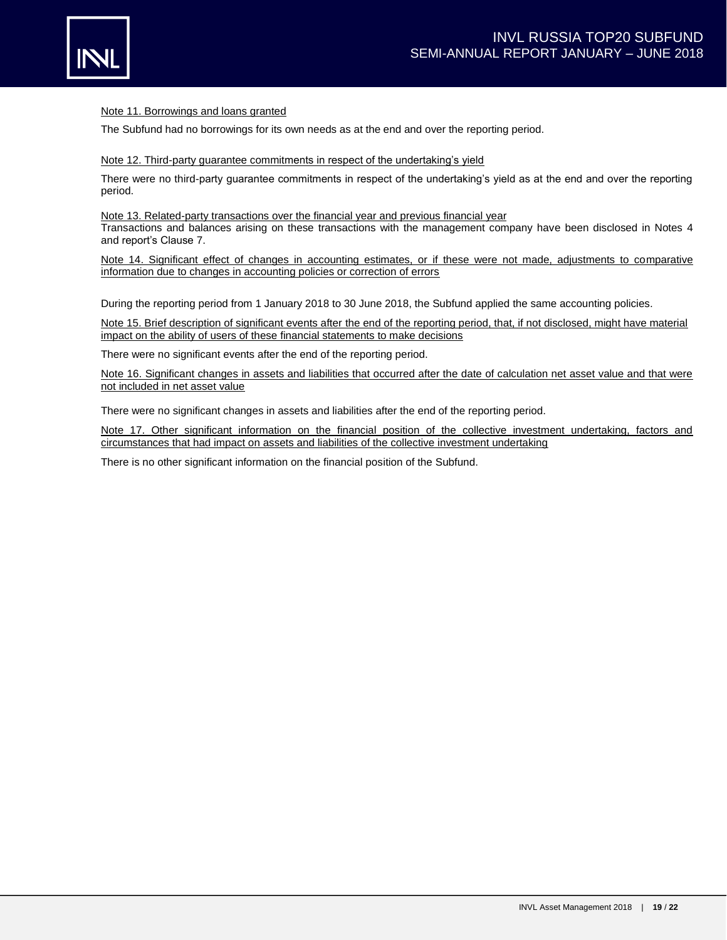

## Note 11. Borrowings and loans granted

The Subfund had no borrowings for its own needs as at the end and over the reporting period.

### Note 12. Third-party guarantee commitments in respect of the undertaking's yield

There were no third-party guarantee commitments in respect of the undertaking's yield as at the end and over the reporting period.

### Note 13. Related-party transactions over the financial year and previous financial year

Transactions and balances arising on these transactions with the management company have been disclosed in Notes 4 and report's Clause 7.

Note 14. Significant effect of changes in accounting estimates, or if these were not made, adjustments to comparative information due to changes in accounting policies or correction of errors

During the reporting period from 1 January 2018 to 30 June 2018, the Subfund applied the same accounting policies.

Note 15. Brief description of significant events after the end of the reporting period, that, if not disclosed, might have material impact on the ability of users of these financial statements to make decisions

There were no significant events after the end of the reporting period.

Note 16. Significant changes in assets and liabilities that occurred after the date of calculation net asset value and that were not included in net asset value

There were no significant changes in assets and liabilities after the end of the reporting period.

Note 17. Other significant information on the financial position of the collective investment undertaking, factors and circumstances that had impact on assets and liabilities of the collective investment undertaking

There is no other significant information on the financial position of the Subfund.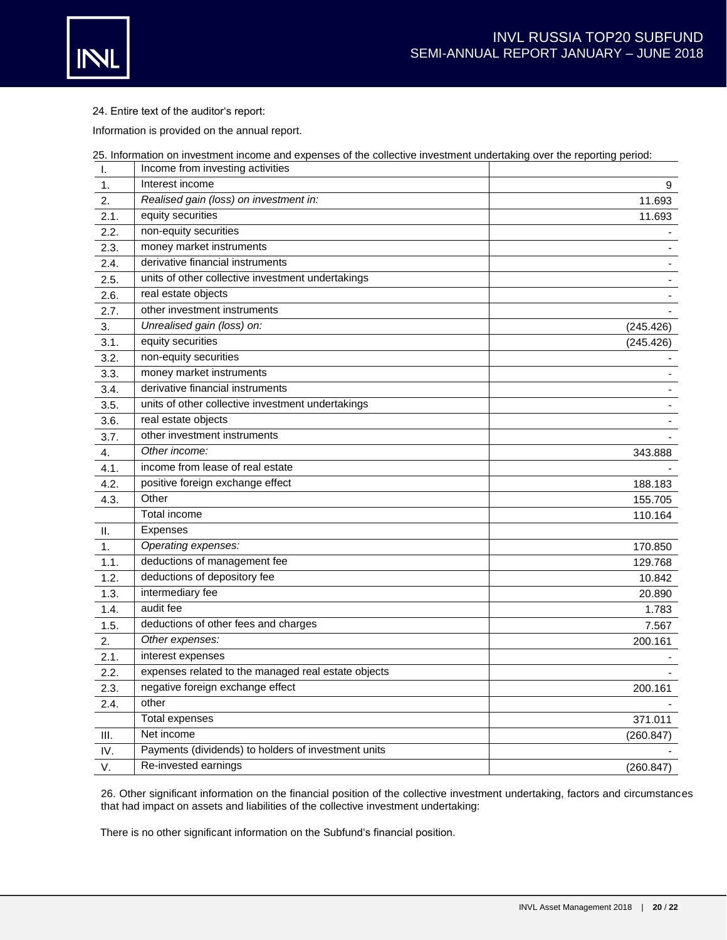

24. Entire text of the auditor's report:

Information is provided on the annual report.

| 25. Information on investment income and expenses of the collective investment undertaking over the reporting period: |  |
|-----------------------------------------------------------------------------------------------------------------------|--|
| المعانات بالغمام بماعاته متعامل موامعه والموموم والبال                                                                |  |

| I.   | Income from investing activities                    |                          |
|------|-----------------------------------------------------|--------------------------|
| 1.   | Interest income                                     | 9                        |
| 2.   | Realised gain (loss) on investment in:              | 11.693                   |
| 2.1. | equity securities                                   | 11.693                   |
| 2.2. | non-equity securities                               |                          |
| 2.3. | money market instruments                            |                          |
| 2.4. | derivative financial instruments                    |                          |
| 2.5. | units of other collective investment undertakings   |                          |
| 2.6. | real estate objects                                 |                          |
| 2.7. | other investment instruments                        |                          |
| 3.   | Unrealised gain (loss) on:                          | (245.426)                |
| 3.1. | equity securities                                   | (245.426)                |
| 3.2. | non-equity securities                               |                          |
| 3.3. | money market instruments                            | $\overline{\phantom{a}}$ |
| 3.4. | derivative financial instruments                    | $\blacksquare$           |
| 3.5. | units of other collective investment undertakings   |                          |
| 3.6. | real estate objects                                 |                          |
| 3.7. | other investment instruments                        |                          |
| 4.   | Other income:                                       | 343.888                  |
| 4.1. | income from lease of real estate                    |                          |
| 4.2. | positive foreign exchange effect                    | 188.183                  |
| 4.3. | Other                                               | 155.705                  |
|      | Total income                                        | 110.164                  |
| Ш.   | <b>Expenses</b>                                     |                          |
| 1.   | Operating expenses:                                 | 170.850                  |
| 1.1. | deductions of management fee                        | 129.768                  |
| 1.2. | deductions of depository fee                        | 10.842                   |
| 1.3. | intermediary fee                                    | 20.890                   |
| 1.4. | audit fee                                           | 1.783                    |
| 1.5. | deductions of other fees and charges                | 7.567                    |
| 2.   | Other expenses:                                     | 200.161                  |
| 2.1. | interest expenses                                   |                          |
| 2.2. | expenses related to the managed real estate objects |                          |
| 2.3. | negative foreign exchange effect                    | 200.161                  |
| 2.4. | other                                               |                          |
|      | <b>Total expenses</b>                               | 371.011                  |
| III. | Net income                                          | (260.847)                |
| IV.  | Payments (dividends) to holders of investment units |                          |
| V.   | Re-invested earnings                                | (260.847)                |

26. Other significant information on the financial position of the collective investment undertaking, factors and circumstances that had impact on assets and liabilities of the collective investment undertaking:

There is no other significant information on the Subfund's financial position.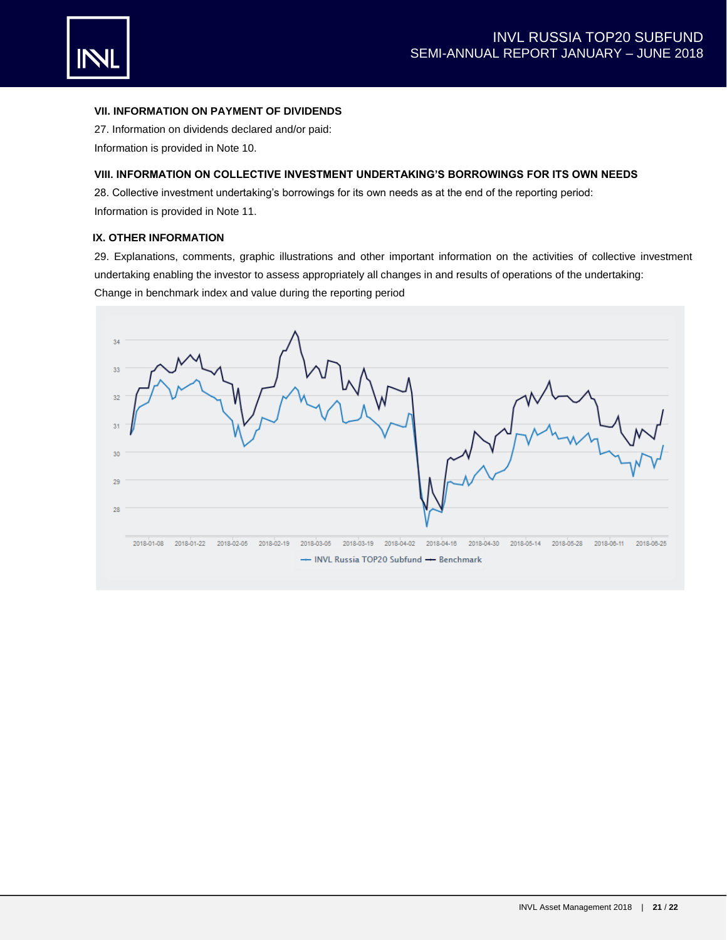

# **VII. INFORMATION ON PAYMENT OF DIVIDENDS**

27. Information on dividends declared and/or paid: Information is provided in Note 10.

# **VIII. INFORMATION ON COLLECTIVE INVESTMENT UNDERTAKING'S BORROWINGS FOR ITS OWN NEEDS**

28. Collective investment undertaking's borrowings for its own needs as at the end of the reporting period: Information is provided in Note 11.

# **IX. OTHER INFORMATION**

29. Explanations, comments, graphic illustrations and other important information on the activities of collective investment undertaking enabling the investor to assess appropriately all changes in and results of operations of the undertaking: Change in benchmark index and value during the reporting period